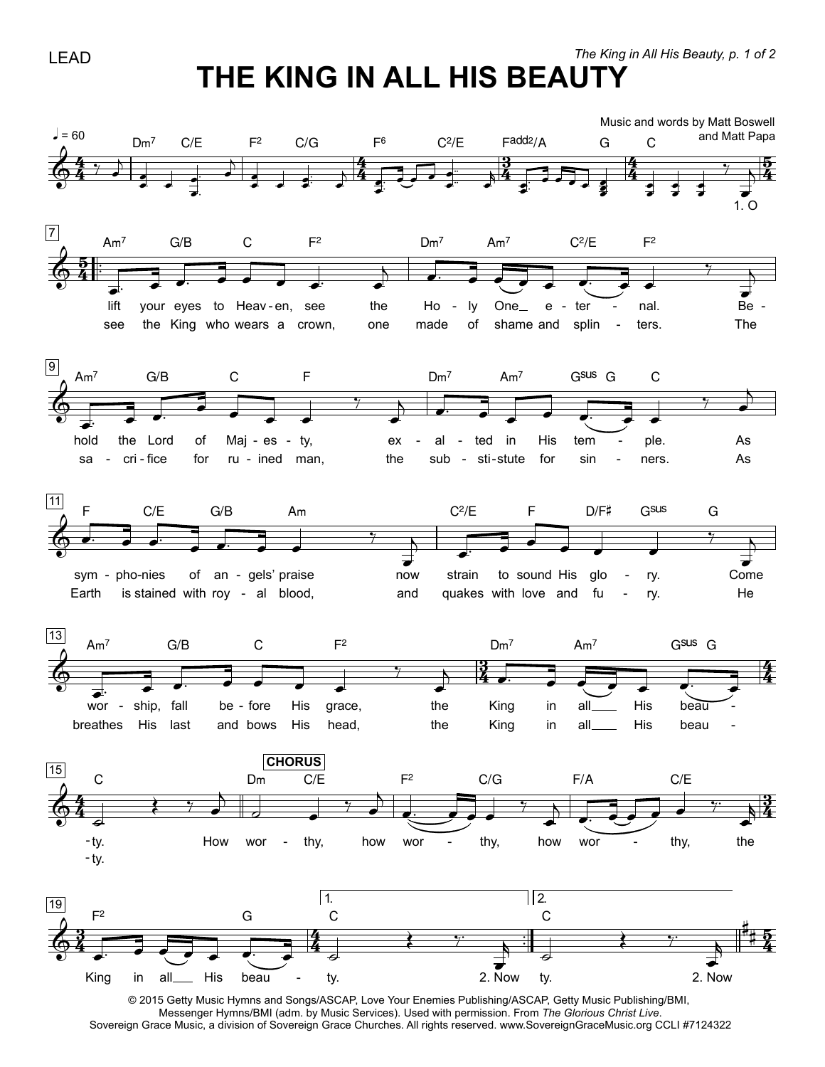## THE KING IN ALL HIS BEAUTY



<sup>@ 2015</sup> Getty Music Hymns and Songs/ASCAP, Love Your Enemies Publishing/ASCAP, Getty Music Publishing/BMI, Messenger Hymns/BMI (adm. by Music Services). Used with permission. From The Glorious Christ Live. Sovereign Grace Music, a division of Sovereign Grace Churches. All rights reserved. www.SovereignGraceMusic.org CCLI #7124322